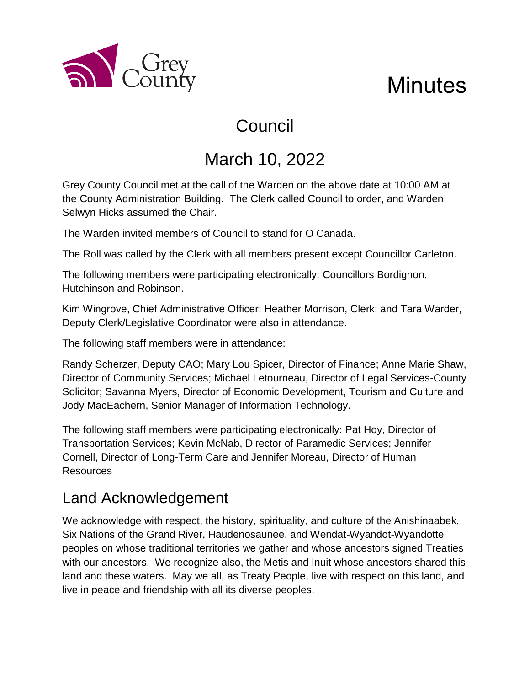

# **Minutes**

# Council

# March 10, 2022

Grey County Council met at the call of the Warden on the above date at 10:00 AM at the County Administration Building. The Clerk called Council to order, and Warden Selwyn Hicks assumed the Chair.

The Warden invited members of Council to stand for O Canada.

The Roll was called by the Clerk with all members present except Councillor Carleton.

The following members were participating electronically: Councillors Bordignon, Hutchinson and Robinson.

Kim Wingrove, Chief Administrative Officer; Heather Morrison, Clerk; and Tara Warder, Deputy Clerk/Legislative Coordinator were also in attendance.

The following staff members were in attendance:

Randy Scherzer, Deputy CAO; Mary Lou Spicer, Director of Finance; Anne Marie Shaw, Director of Community Services; Michael Letourneau, Director of Legal Services-County Solicitor; Savanna Myers, Director of Economic Development, Tourism and Culture and Jody MacEachern, Senior Manager of Information Technology.

The following staff members were participating electronically: Pat Hoy, Director of Transportation Services; Kevin McNab, Director of Paramedic Services; Jennifer Cornell, Director of Long-Term Care and Jennifer Moreau, Director of Human Resources

# Land Acknowledgement

We acknowledge with respect, the history, spirituality, and culture of the Anishinaabek, Six Nations of the Grand River, Haudenosaunee, and Wendat-Wyandot-Wyandotte peoples on whose traditional territories we gather and whose ancestors signed Treaties with our ancestors. We recognize also, the Metis and Inuit whose ancestors shared this land and these waters. May we all, as Treaty People, live with respect on this land, and live in peace and friendship with all its diverse peoples.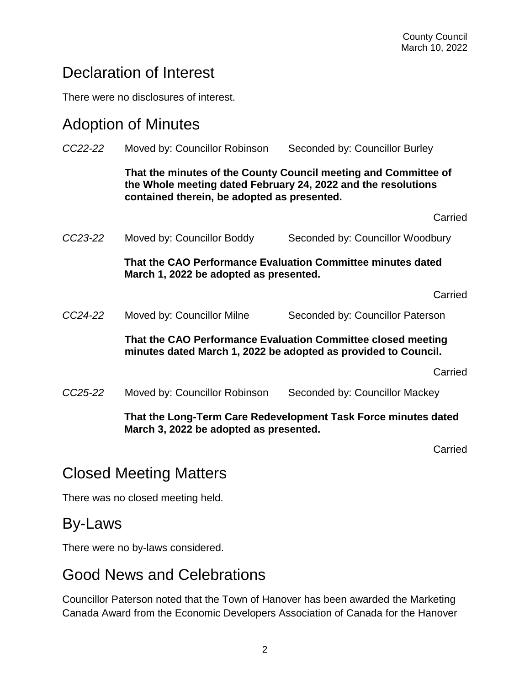# Declaration of Interest

There were no disclosures of interest.

#### Adoption of Minutes

| CC22-22 | Moved by: Councillor Robinson                                                                                                                                                   | Seconded by: Councillor Burley   |
|---------|---------------------------------------------------------------------------------------------------------------------------------------------------------------------------------|----------------------------------|
|         | That the minutes of the County Council meeting and Committee of<br>the Whole meeting dated February 24, 2022 and the resolutions<br>contained therein, be adopted as presented. |                                  |
|         |                                                                                                                                                                                 | Carried                          |
| CC23-22 | Moved by: Councillor Boddy                                                                                                                                                      | Seconded by: Councillor Woodbury |
|         | That the CAO Performance Evaluation Committee minutes dated<br>March 1, 2022 be adopted as presented.                                                                           |                                  |
|         |                                                                                                                                                                                 | Carried                          |
| CC24-22 | Moved by: Councillor Milne                                                                                                                                                      | Seconded by: Councillor Paterson |
|         | That the CAO Performance Evaluation Committee closed meeting<br>minutes dated March 1, 2022 be adopted as provided to Council.                                                  |                                  |
|         |                                                                                                                                                                                 | Carried                          |
| CC25-22 | Moved by: Councillor Robinson                                                                                                                                                   | Seconded by: Councillor Mackey   |
|         | That the Long-Term Care Redevelopment Task Force minutes dated<br>March 3, 2022 be adopted as presented.                                                                        |                                  |
|         |                                                                                                                                                                                 | $\sim$ $\sim$ $\sim$             |

Carried

# Closed Meeting Matters

There was no closed meeting held.

#### By-Laws

There were no by-laws considered.

# Good News and Celebrations

Councillor Paterson noted that the Town of Hanover has been awarded the Marketing Canada Award from the Economic Developers Association of Canada for the Hanover